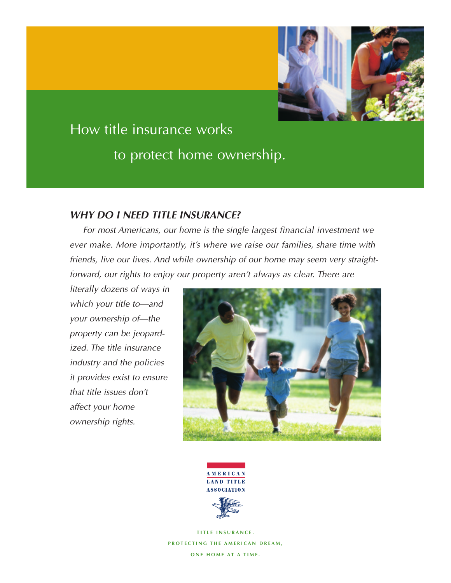

# How title insurance works to protect home ownership.

## *WHY DO I NEED TITLE INSURANCE?*

*For most Americans, our home is the single largest financial investment we ever make. More importantly, it's where we raise our families, share time with friends, live our lives. And while ownership of our home may seem very straightforward, our rights to enjoy our property aren't always as clear. There are* 

*literally dozens of ways in which your title to—and your ownership of—the property can be jeopardized. The title insurance industry and the policies it provides exist to ensure that title issues don't affect your home ownership rights.*





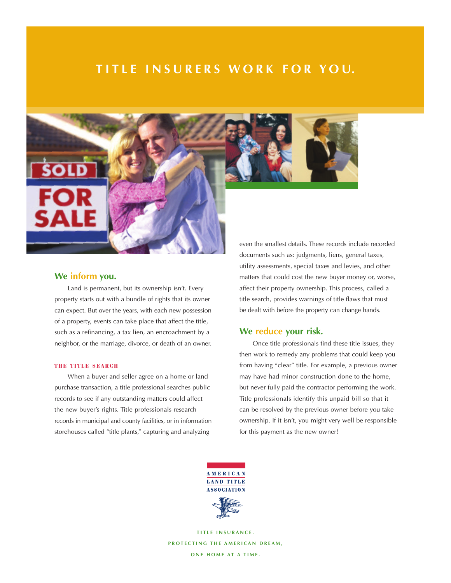# **TITLE INSURERS WORK FOR YOU.**



## **We inform you.**

Land is permanent, but its ownership isn't. Every property starts out with a bundle of rights that its owner can expect. But over the years, with each new possession of a property, events can take place that affect the title, such as a refinancing, a tax lien, an encroachment by a neighbor, or the marriage, divorce, or death of an owner.

#### **THE TITLE SEARCH**

When a buyer and seller agree on a home or land purchase transaction, a title professional searches public records to see if any outstanding matters could affect the new buyer's rights. Title professionals research records in municipal and county facilities, or in information storehouses called "title plants," capturing and analyzing

documents such as: judgments, liens, general taxes, utility assessments, special taxes and levies, and other matters that could cost the new buyer money or, worse, affect their property ownership. This process, called a title search, provides warnings of title flaws that must be dealt with before the property can change hands.

## **We reduce your risk.**

Once title professionals find these title issues, they then work to remedy any problems that could keep you from having "clear" title. For example, a previous owner may have had minor construction done to the home, but never fully paid the contractor performing the work. Title professionals identify this unpaid bill so that it can be resolved by the previous owner before you take ownership. If it isn't, you might very well be responsible for this payment as the new owner!

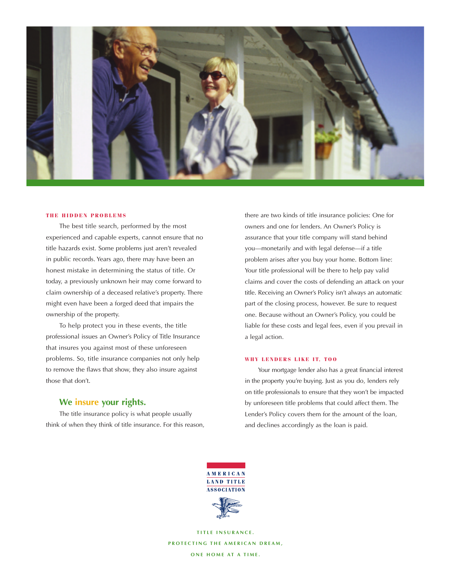

#### **THE HIDDEN PROBLEMS**

The best title search, performed by the most experienced and capable experts, cannot ensure that no title hazards exist. Some problems just aren't revealed in public records. Years ago, there may have been an honest mistake in determining the status of title. Or today, a previously unknown heir may come forward to claim ownership of a deceased relative's property. There might even have been a forged deed that impairs the ownership of the property.

To help protect you in these events, the title professional issues an Owner's Policy of Title Insurance that insures you against most of these unforeseen problems. So, title insurance companies not only help to remove the flaws that show, they also insure against those that don't.

## **We insure your rights.**

The title insurance policy is what people usually think of when they think of title insurance. For this reason, there are two kinds of title insurance policies: One for owners and one for lenders. An Owner's Policy is assurance that your title company will stand behind you—monetarily and with legal defense—if a title problem arises after you buy your home. Bottom line: Your title professional will be there to help pay valid claims and cover the costs of defending an attack on your title. Receiving an Owner's Policy isn't always an automatic part of the closing process, however. Be sure to request one. Because without an Owner's Policy, you could be liable for these costs and legal fees, even if you prevail in a legal action.

#### **WHY LENDERS LIKE IT, TOO**

Your mortgage lender also has a great financial interest in the property you're buying. Just as you do, lenders rely on title professionals to ensure that they won't be impacted by unforeseen title problems that could affect them. The Lender's Policy covers them for the amount of the loan, and declines accordingly as the loan is paid.